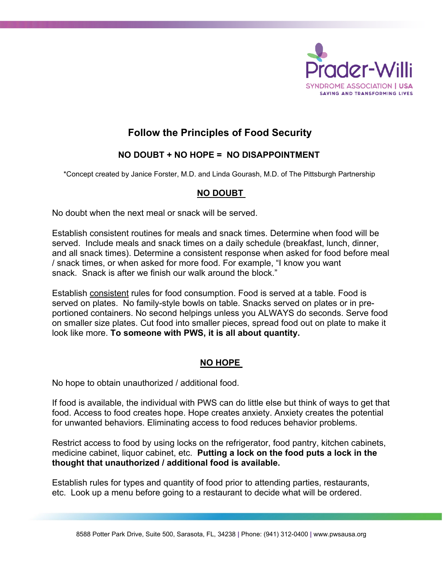

# **Follow the Principles of Food Security**

## **NO DOUBT + NO HOPE = NO DISAPPOINTMENT**

\*Concept created by Janice Forster, M.D. and Linda Gourash, M.D. of The Pittsburgh Partnership

#### **NO DOUBT**

No doubt when the next meal or snack will be served.

Establish consistent routines for meals and snack times. Determine when food will be served. Include meals and snack times on a daily schedule (breakfast, lunch, dinner, and all snack times). Determine a consistent response when asked for food before meal / snack times, or when asked for more food. For example, "I know you want snack. Snack is after we finish our walk around the block."

Establish consistent rules for food consumption. Food is served at a table. Food is served on plates. No family-style bowls on table. Snacks served on plates or in preportioned containers. No second helpings unless you ALWAYS do seconds. Serve food on smaller size plates. Cut food into smaller pieces, spread food out on plate to make it look like more. **To someone with PWS, it is all about quantity.**

### **NO HOPE**

No hope to obtain unauthorized / additional food.

If food is available, the individual with PWS can do little else but think of ways to get that food. Access to food creates hope. Hope creates anxiety. Anxiety creates the potential for unwanted behaviors. Eliminating access to food reduces behavior problems.

Restrict access to food by using locks on the refrigerator, food pantry, kitchen cabinets, medicine cabinet, liquor cabinet, etc. **Putting a lock on the food puts a lock in the thought that unauthorized / additional food is available.**

Establish rules for types and quantity of food prior to attending parties, restaurants, etc. Look up a menu before going to a restaurant to decide what will be ordered.